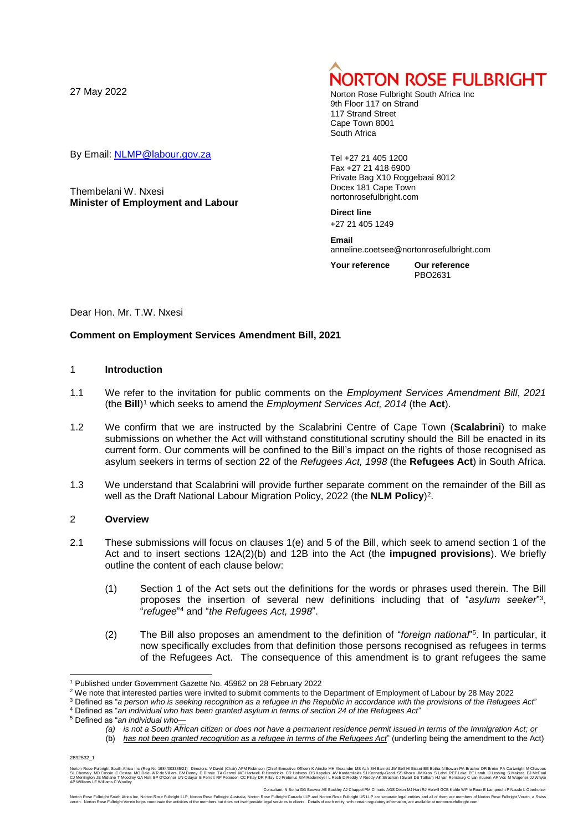By Email: [NLMP@labour.gov.za](mailto:NLMP@labour.gov.za)

Thembelani W. Nxesi **Minister of Employment and Labour**

# **NORTON ROSE FULBRIGHT**

Norton Rose Fulbright South Africa Inc 9th Floor 117 on Strand 117 Strand Street Cape Town 8001 South Africa

Tel +27 21 405 1200 Fax +27 21 418 6900 Private Bag X10 Roggebaai 8012 Docex 181 Cape Town nortonrosefulbright.com

**Direct line** +27 21 405 1249

**Email** anneline.coetsee@nortonrosefulbright.com

**Your reference Our reference** PBO2631

Dear Hon. Mr. T.W. Nxesi

#### **Comment on Employment Services Amendment Bill, 2021**

#### 1 **Introduction**

- 1.1 We refer to the invitation for public comments on the *Employment Services Amendment Bill*, *2021* (the **Bill**) <sup>1</sup> which seeks to amend the *Employment Services Act, 2014* (the **Act**).
- 1.2 We confirm that we are instructed by the Scalabrini Centre of Cape Town (**Scalabrini**) to make submissions on whether the Act will withstand constitutional scrutiny should the Bill be enacted in its current form. Our comments will be confined to the Bill's impact on the rights of those recognised as asylum seekers in terms of section 22 of the *Refugees Act, 1998* (the **Refugees Act**) in South Africa.
- 1.3 We understand that Scalabrini will provide further separate comment on the remainder of the Bill as well as the Draft National Labour Migration Policy, 2022 (the **NLM Policy**) 2 .

#### 2 **Overview**

- 2.1 These submissions will focus on clauses 1(e) and 5 of the Bill, which seek to amend section 1 of the Act and to insert sections 12A(2)(b) and 12B into the Act (the **impugned provisions**). We briefly outline the content of each clause below:
	- (1) Section 1 of the Act sets out the definitions for the words or phrases used therein. The Bill proposes the insertion of several new definitions including that of "*asylum seeker*" 3 , "*refugee*" <sup>4</sup> and "*the Refugees Act, 1998*".
	- (2) The Bill also proposes an amendment to the definition of "*foreign national*" 5 . In particular, it now specifically excludes from that definition those persons recognised as refugees in terms of the Refugees Act. The consequence of this amendment is to grant refugees the same

<sup>3</sup> Defined as "*a person who is seeking recognition as a refugee in the Republic in accordance with the provisions of the Refugees Act*"

(b) *has not been granted recognition as a refugee in terms of the Refugees Act*" (underling being the amendment to the Act)

2892532\_1

l <sup>1</sup> Published under Government Gazette No. 45962 on 28 February 2022

<sup>&</sup>lt;sup>2</sup> We note that interested parties were invited to submit comments to the Department of Employment of Labour by 28 May 2022

<sup>4</sup> Defined as "*an individual who has been granted asylum in terms of section 24 of the Refugees Act*"

<sup>5</sup> Defined as "*an individual who—*

*<sup>(</sup>a) is not a South African citizen or does not have a permanent residence permit issued in terms of the Immigration Act; or*

Noton Rose Fulloright South Africa Inc (Reg No 1984/00338/21) Directors: V David (Chain APM Robinson (Chief Executive Offices DS Kapelus AV Kardamilaks SJ Kennedy-Good SS Khoza JM Kron S Lahri REF Lake PE Lamb IJ Lessing S

Consultant: N Botha GG Bouwer AE Buckley AJ Chappel PM Chronis AGS Dixon MJ Hart RJ Holwill GCB Kahle WP le Roux E Lamprecht P Naude L Oberholzer

Noton Rose Fullright South Africa inc, Norton Rose Fulluch, Noton Rose Fulloph Nustrala, Noton Rose Fullpright Canada LiP and Noton Rose Fullsright US at separate legal entities of the members but does not itself provide l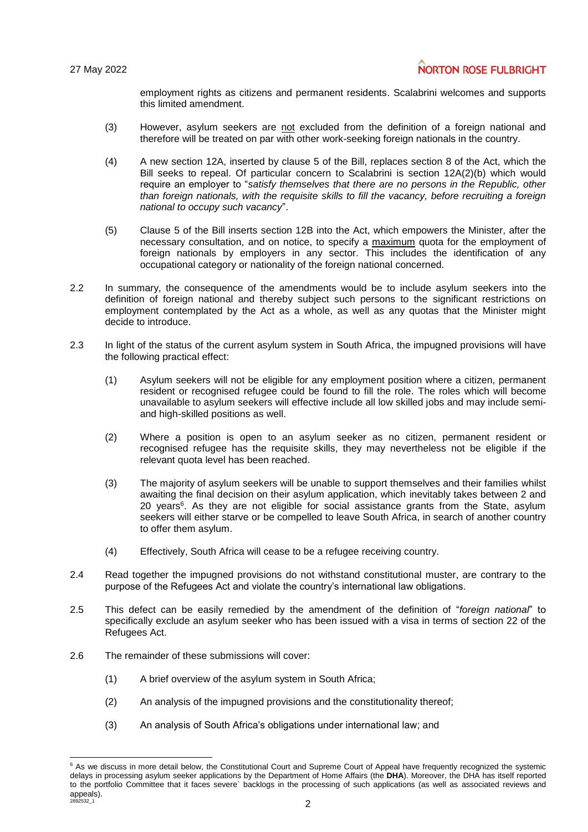employment rights as citizens and permanent residents. Scalabrini welcomes and supports this limited amendment.

- (3) However, asylum seekers are not excluded from the definition of a foreign national and therefore will be treated on par with other work-seeking foreign nationals in the country.
- (4) A new section 12A, inserted by clause 5 of the Bill, replaces section 8 of the Act, which the Bill seeks to repeal. Of particular concern to Scalabrini is section 12A(2)(b) which would require an employer to "*satisfy themselves that there are no persons in the Republic, other than foreign nationals, with the requisite skills to fill the vacancy, before recruiting a foreign national to occupy such vacancy*".
- (5) Clause 5 of the Bill inserts section 12B into the Act, which empowers the Minister, after the necessary consultation, and on notice, to specify a maximum quota for the employment of foreign nationals by employers in any sector. This includes the identification of any occupational category or nationality of the foreign national concerned.
- 2.2 In summary, the consequence of the amendments would be to include asylum seekers into the definition of foreign national and thereby subject such persons to the significant restrictions on employment contemplated by the Act as a whole, as well as any quotas that the Minister might decide to introduce.
- 2.3 In light of the status of the current asylum system in South Africa, the impugned provisions will have the following practical effect:
	- (1) Asylum seekers will not be eligible for any employment position where a citizen, permanent resident or recognised refugee could be found to fill the role. The roles which will become unavailable to asylum seekers will effective include all low skilled jobs and may include semiand high-skilled positions as well.
	- (2) Where a position is open to an asylum seeker as no citizen, permanent resident or recognised refugee has the requisite skills, they may nevertheless not be eligible if the relevant quota level has been reached.
	- (3) The majority of asylum seekers will be unable to support themselves and their families whilst awaiting the final decision on their asylum application, which inevitably takes between 2 and 20 years<sup>6</sup>. As they are not eligible for social assistance grants from the State, asylum seekers will either starve or be compelled to leave South Africa, in search of another country to offer them asylum.
	- (4) Effectively, South Africa will cease to be a refugee receiving country.
- 2.4 Read together the impugned provisions do not withstand constitutional muster, are contrary to the purpose of the Refugees Act and violate the country's international law obligations.
- 2.5 This defect can be easily remedied by the amendment of the definition of "*foreign national*" to specifically exclude an asylum seeker who has been issued with a visa in terms of section 22 of the Refugees Act.
- 2.6 The remainder of these submissions will cover:

l

- (1) A brief overview of the asylum system in South Africa;
- (2) An analysis of the impugned provisions and the constitutionality thereof;
- (3) An analysis of South Africa's obligations under international law; and

 $2^{2892532}$ <sub>2</sub> <sup>6</sup> As we discuss in more detail below, the Constitutional Court and Supreme Court of Appeal have frequently recognized the systemic delays in processing asylum seeker applications by the Department of Home Affairs (the **DHA**). Moreover, the DHA has itself reported to the portfolio Committee that it faces severe` backlogs in the processing of such applications (as well as associated reviews and appeals).<br> $28925321$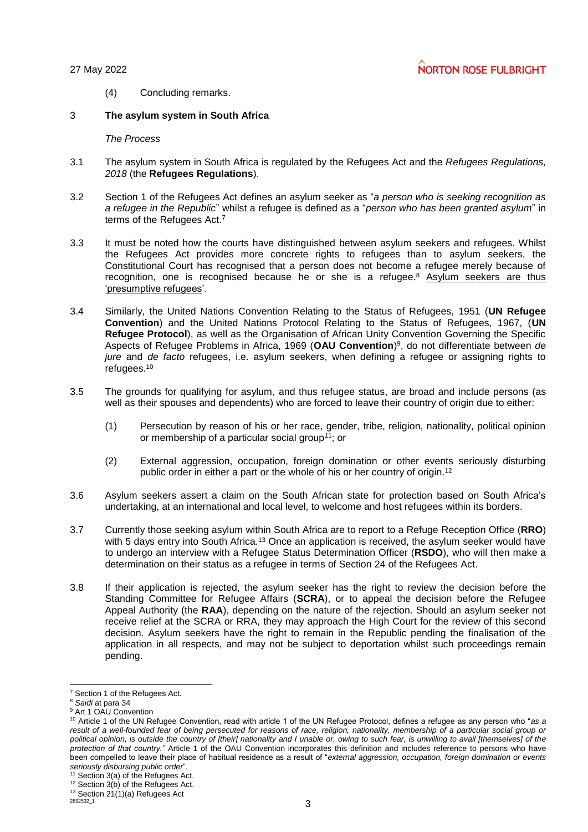(4) Concluding remarks.

## 3 **The asylum system in South Africa**

*The Process*

- 3.1 The asylum system in South Africa is regulated by the Refugees Act and the *Refugees Regulations, 2018* (the **Refugees Regulations**).
- 3.2 Section 1 of the Refugees Act defines an asylum seeker as "*a person who is seeking recognition as a refugee in the Republic*" whilst a refugee is defined as a "*person who has been granted asylum*" in terms of the Refugees Act.<sup>7</sup>
- 3.3 It must be noted how the courts have distinguished between asylum seekers and refugees. Whilst the Refugees Act provides more concrete rights to refugees than to asylum seekers, the Constitutional Court has recognised that a person does not become a refugee merely because of recognition, one is recognised because he or she is a refugee.<sup>8</sup> Asylum seekers are thus 'presumptive refugees'.
- 3.4 Similarly, the United Nations Convention Relating to the Status of Refugees, 1951 (**UN Refugee Convention**) and the United Nations Protocol Relating to the Status of Refugees, 1967, (**UN Refugee Protocol**), as well as the Organisation of African Unity Convention Governing the Specific Aspects of Refugee Problems in Africa, 1969 (**OAU Convention**) 9 , do not differentiate between *de jure* and *de facto* refugees, i.e. asylum seekers, when defining a refugee or assigning rights to refugees.<sup>10</sup>
- 3.5 The grounds for qualifying for asylum, and thus refugee status, are broad and include persons (as well as their spouses and dependents) who are forced to leave their country of origin due to either:
	- (1) Persecution by reason of his or her race, gender, tribe, religion, nationality, political opinion or membership of a particular social group<sup>11</sup>; or
	- (2) External aggression, occupation, foreign domination or other events seriously disturbing public order in either a part or the whole of his or her country of origin. 12
- 3.6 Asylum seekers assert a claim on the South African state for protection based on South Africa's undertaking, at an international and local level, to welcome and host refugees within its borders.
- 3.7 Currently those seeking asylum within South Africa are to report to a Refuge Reception Office (**RRO**) with 5 days entry into South Africa.<sup>13</sup> Once an application is received, the asylum seeker would have to undergo an interview with a Refugee Status Determination Officer (**RSDO**), who will then make a determination on their status as a refugee in terms of Section 24 of the Refugees Act.
- 3.8 If their application is rejected, the asylum seeker has the right to review the decision before the Standing Committee for Refugee Affairs (**SCRA**), or to appeal the decision before the Refugee Appeal Authority (the **RAA**), depending on the nature of the rejection. Should an asylum seeker not receive relief at the SCRA or RRA, they may approach the High Court for the review of this second decision. Asylum seekers have the right to remain in the Republic pending the finalisation of the application in all respects, and may not be subject to deportation whilst such proceedings remain pending.

l <sup>7</sup> Section 1 of the Refugees Act.

<sup>8</sup> *Saidi* at para 34

<sup>&</sup>lt;sup>9</sup> Art 1 OAU Convention

<sup>10</sup> Article 1 of the UN Refugee Convention, read with article 1 of the UN Refugee Protocol, defines a refugee as any person who "*as a result of a well-founded fear of being persecuted for reasons of race, religion, nationality, membership of a particular social group or political opinion, is outside the country of [their] nationality and I unable or, owing to such fear, is unwilling to avail [themselves] of the protection of that country."* Article 1 of the OAU Convention incorporates this definition and includes reference to persons who have been compelled to leave their place of habitual residence as a result of "*external aggression, occupation, foreign domination or events seriously disbursing public order*".

<sup>&</sup>lt;sup>11</sup> Section 3(a) of the Refugees Act.

 $12$  Section 3(b) of the Refugees Act.

<sup>&</sup>lt;sup>13</sup> Section  $21(1)(a)$  Refugees Act<br>2892532\_1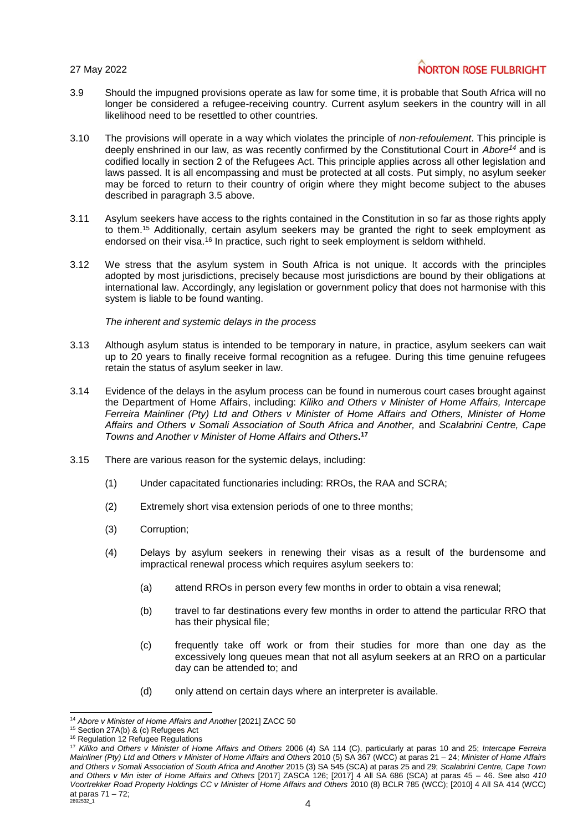- 3.9 Should the impugned provisions operate as law for some time, it is probable that South Africa will no longer be considered a refugee-receiving country. Current asylum seekers in the country will in all likelihood need to be resettled to other countries.
- 3.10 The provisions will operate in a way which violates the principle of *non-refoulement*. This principle is deeply enshrined in our law, as was recently confirmed by the Constitutional Court in *Abore<sup>14</sup>* and is codified locally in section 2 of the Refugees Act. This principle applies across all other legislation and laws passed. It is all encompassing and must be protected at all costs. Put simply, no asylum seeker may be forced to return to their country of origin where they might become subject to the abuses described in paragraph 3.5 above.
- 3.11 Asylum seekers have access to the rights contained in the Constitution in so far as those rights apply to them.<sup>15</sup> Additionally, certain asylum seekers may be granted the right to seek employment as endorsed on their visa.<sup>16</sup> In practice, such right to seek employment is seldom withheld.
- 3.12 We stress that the asylum system in South Africa is not unique. It accords with the principles adopted by most jurisdictions, precisely because most jurisdictions are bound by their obligations at international law. Accordingly, any legislation or government policy that does not harmonise with this system is liable to be found wanting.

*The inherent and systemic delays in the process*

- 3.13 Although asylum status is intended to be temporary in nature, in practice, asylum seekers can wait up to 20 years to finally receive formal recognition as a refugee. During this time genuine refugees retain the status of asylum seeker in law.
- 3.14 Evidence of the delays in the asylum process can be found in numerous court cases brought against the Department of Home Affairs, including: *Kiliko and Others v Minister of Home Affairs, Intercape Ferreira Mainliner (Pty) Ltd and Others v Minister of Home Affairs and Others, Minister of Home Affairs and Others v Somali Association of South Africa and Another,* and *Scalabrini Centre, Cape Towns and Another v Minister of Home Affairs and Others***. 17**
- 3.15 There are various reason for the systemic delays, including:
	- (1) Under capacitated functionaries including: RROs, the RAA and SCRA;
	- (2) Extremely short visa extension periods of one to three months;
	- (3) Corruption;
	- (4) Delays by asylum seekers in renewing their visas as a result of the burdensome and impractical renewal process which requires asylum seekers to:
		- (a) attend RROs in person every few months in order to obtain a visa renewal;
		- (b) travel to far destinations every few months in order to attend the particular RRO that has their physical file;
		- (c) frequently take off work or from their studies for more than one day as the excessively long queues mean that not all asylum seekers at an RRO on a particular day can be attended to; and
		- (d) only attend on certain days where an interpreter is available.

l <sup>14</sup> *Abore v Minister of Home Affairs and Another* [2021] ZACC 50

<sup>&</sup>lt;sup>15</sup> Section 27A(b) & (c) Refugees Act

<sup>&</sup>lt;sup>16</sup> Regulation 12 Refugee Regulations

 $2892532\_1$   $4$ <sup>17</sup> *Kiliko and Others v Minister of Home Affairs and Others* 2006 (4) SA 114 (C), particularly at paras 10 and 25; *Intercape Ferreira Mainliner (Pty) Ltd and Others v Minister of Home Affairs and Others* 2010 (5) SA 367 (WCC) at paras 21 – 24; *Minister of Home Affairs and Others v Somali Association of South Africa and Another* 2015 (3) SA 545 (SCA) at paras 25 and 29; *Scalabrini Centre, Cape Town and Others v Min ister of Home Affairs and Others* [2017] ZASCA 126; [2017] 4 All SA 686 (SCA) at paras 45 – 46. See also *410 Voortrekker Road Property Holdings CC v Minister of Home Affairs and Others* 2010 (8) BCLR 785 (WCC); [2010] 4 All SA 414 (WCC) at paras  $71 - 72$ ;<br> $2892532 - 1$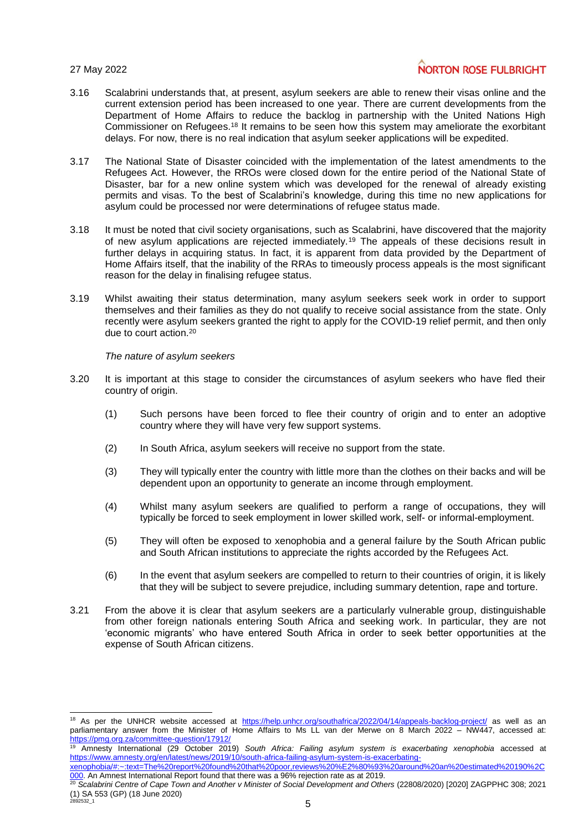l

# **NORTON ROSE FULBRIGHT**

- 3.16 Scalabrini understands that, at present, asylum seekers are able to renew their visas online and the current extension period has been increased to one year. There are current developments from the Department of Home Affairs to reduce the backlog in partnership with the United Nations High Commissioner on Refugees.<sup>18</sup> It remains to be seen how this system may ameliorate the exorbitant delays. For now, there is no real indication that asylum seeker applications will be expedited.
- 3.17 The National State of Disaster coincided with the implementation of the latest amendments to the Refugees Act. However, the RROs were closed down for the entire period of the National State of Disaster, bar for a new online system which was developed for the renewal of already existing permits and visas. To the best of Scalabrini's knowledge, during this time no new applications for asylum could be processed nor were determinations of refugee status made.
- 3.18 It must be noted that civil society organisations, such as Scalabrini, have discovered that the majority of new asylum applications are rejected immediately.<sup>19</sup> The appeals of these decisions result in further delays in acquiring status. In fact, it is apparent from data provided by the Department of Home Affairs itself, that the inability of the RRAs to timeously process appeals is the most significant reason for the delay in finalising refugee status.
- 3.19 Whilst awaiting their status determination, many asylum seekers seek work in order to support themselves and their families as they do not qualify to receive social assistance from the state. Only recently were asylum seekers granted the right to apply for the COVID-19 relief permit, and then only due to court action.<sup>20</sup>

*The nature of asylum seekers*

- 3.20 It is important at this stage to consider the circumstances of asylum seekers who have fled their country of origin.
	- (1) Such persons have been forced to flee their country of origin and to enter an adoptive country where they will have very few support systems.
	- (2) In South Africa, asylum seekers will receive no support from the state.
	- (3) They will typically enter the country with little more than the clothes on their backs and will be dependent upon an opportunity to generate an income through employment.
	- (4) Whilst many asylum seekers are qualified to perform a range of occupations, they will typically be forced to seek employment in lower skilled work, self- or informal-employment.
	- (5) They will often be exposed to xenophobia and a general failure by the South African public and South African institutions to appreciate the rights accorded by the Refugees Act.
	- (6) In the event that asylum seekers are compelled to return to their countries of origin, it is likely that they will be subject to severe prejudice, including summary detention, rape and torture.
- 3.21 From the above it is clear that asylum seekers are a particularly vulnerable group, distinguishable from other foreign nationals entering South Africa and seeking work. In particular, they are not 'economic migrants' who have entered South Africa in order to seek better opportunities at the expense of South African citizens.

<sup>&</sup>lt;sup>18</sup> As per the UNHCR website accessed at <https://help.unhcr.org/southafrica/2022/04/14/appeals-backlog-project/> as well as an parliamentary answer from the Minister of Home Affairs to Ms LL van der Merwe on 8 March 2022 – NW447, accessed at: <https://pmg.org.za/committee-question/17912/>

<sup>19</sup> Amnesty International (29 October 2019) *South Africa: Failing asylum system is exacerbating xenophobia* accessed at [https://www.amnesty.org/en/latest/news/2019/10/south-africa-failing-asylum-system-is-exacerbating-](https://www.amnesty.org/en/latest/news/2019/10/south-africa-failing-asylum-system-is-exacerbating-xenophobia/#:~:text=The%20report%20found%20that%20poor,reviews%20%E2%80%93%20around%20an%20estimated%20190%2C000)

[xenophobia/#:~:text=The%20report%20found%20that%20poor,reviews%20%E2%80%93%20around%20an%20estimated%20190%2C](https://www.amnesty.org/en/latest/news/2019/10/south-africa-failing-asylum-system-is-exacerbating-xenophobia/#:~:text=The%20report%20found%20that%20poor,reviews%20%E2%80%93%20around%20an%20estimated%20190%2C000) [000.](https://www.amnesty.org/en/latest/news/2019/10/south-africa-failing-asylum-system-is-exacerbating-xenophobia/#:~:text=The%20report%20found%20that%20poor,reviews%20%E2%80%93%20around%20an%20estimated%20190%2C000) An Amnest International Report found that there was a 96% rejection rate as at 2019.

 $2892532\_1$  5 <sup>20</sup> *Scalabrini Centre of Cape Town and Another v Minister of Social Development and Others* (22808/2020) [2020] ZAGPPHC 308; 2021 (1) SA 553 (GP) (18 June 2020)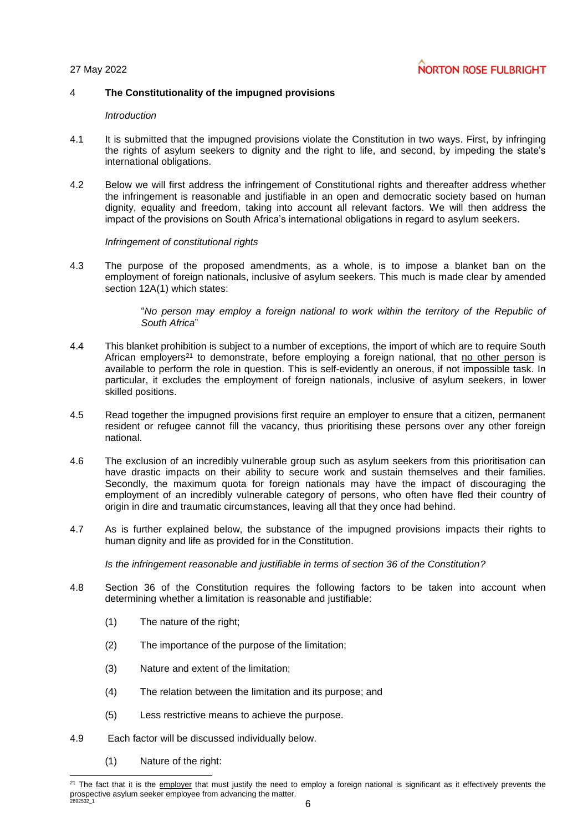## 4 **The Constitutionality of the impugned provisions**

#### *Introduction*

- 4.1 It is submitted that the impugned provisions violate the Constitution in two ways. First, by infringing the rights of asylum seekers to dignity and the right to life, and second, by impeding the state's international obligations.
- 4.2 Below we will first address the infringement of Constitutional rights and thereafter address whether the infringement is reasonable and justifiable in an open and democratic society based on human dignity, equality and freedom, taking into account all relevant factors. We will then address the impact of the provisions on South Africa's international obligations in regard to asylum seekers.

#### *Infringement of constitutional rights*

4.3 The purpose of the proposed amendments, as a whole, is to impose a blanket ban on the employment of foreign nationals, inclusive of asylum seekers. This much is made clear by amended section 12A(1) which states:

> "*No person may employ a foreign national to work within the territory of the Republic of South Africa*"

- 4.4 This blanket prohibition is subject to a number of exceptions, the import of which are to require South African employers<sup>21</sup> to demonstrate, before employing a foreign national, that no other person is available to perform the role in question. This is self-evidently an onerous, if not impossible task. In particular, it excludes the employment of foreign nationals, inclusive of asylum seekers, in lower skilled positions.
- 4.5 Read together the impugned provisions first require an employer to ensure that a citizen, permanent resident or refugee cannot fill the vacancy, thus prioritising these persons over any other foreign national.
- 4.6 The exclusion of an incredibly vulnerable group such as asylum seekers from this prioritisation can have drastic impacts on their ability to secure work and sustain themselves and their families. Secondly, the maximum quota for foreign nationals may have the impact of discouraging the employment of an incredibly vulnerable category of persons, who often have fled their country of origin in dire and traumatic circumstances, leaving all that they once had behind.
- 4.7 As is further explained below, the substance of the impugned provisions impacts their rights to human dignity and life as provided for in the Constitution.

*Is the infringement reasonable and justifiable in terms of section 36 of the Constitution?*

- 4.8 Section 36 of the Constitution requires the following factors to be taken into account when determining whether a limitation is reasonable and justifiable:
	- (1) The nature of the right;
	- (2) The importance of the purpose of the limitation;
	- (3) Nature and extent of the limitation;
	- (4) The relation between the limitation and its purpose; and
	- (5) Less restrictive means to achieve the purpose.
- 4.9 Each factor will be discussed individually below.
	- (1) Nature of the right:

l

 $2892532\_1$  6  $2<sup>21</sup>$  The fact that it is the  $\epsilon$  employer that must justify the need to employ a foreign national is significant as it effectively prevents the prospective asylum seeker employee from advancing the matter.<br>2892532 1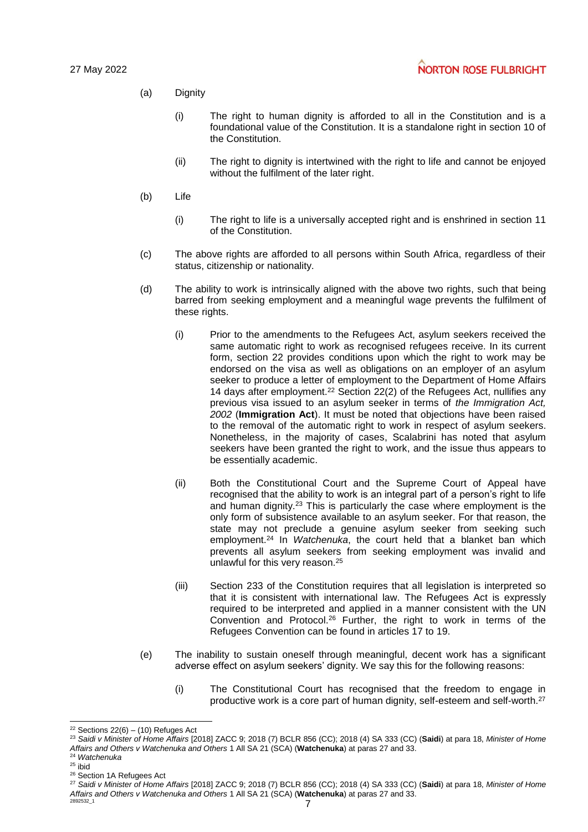## (a) Dignity

- (i) The right to human dignity is afforded to all in the Constitution and is a foundational value of the Constitution. It is a standalone right in section 10 of the Constitution.
- (ii) The right to dignity is intertwined with the right to life and cannot be enjoyed without the fulfilment of the later right.
- (b) Life
	- (i) The right to life is a universally accepted right and is enshrined in section 11 of the Constitution.
- (c) The above rights are afforded to all persons within South Africa, regardless of their status, citizenship or nationality.
- (d) The ability to work is intrinsically aligned with the above two rights, such that being barred from seeking employment and a meaningful wage prevents the fulfilment of these rights.
	- (i) Prior to the amendments to the Refugees Act, asylum seekers received the same automatic right to work as recognised refugees receive. In its current form, section 22 provides conditions upon which the right to work may be endorsed on the visa as well as obligations on an employer of an asylum seeker to produce a letter of employment to the Department of Home Affairs 14 days after employment.<sup>22</sup> Section 22(2) of the Refugees Act, nullifies any previous visa issued to an asylum seeker in terms of *the Immigration Act, 2002* (**Immigration Act**). It must be noted that objections have been raised to the removal of the automatic right to work in respect of asylum seekers. Nonetheless, in the majority of cases, Scalabrini has noted that asylum seekers have been granted the right to work, and the issue thus appears to be essentially academic.
	- (ii) Both the Constitutional Court and the Supreme Court of Appeal have recognised that the ability to work is an integral part of a person's right to life and human dignity.<sup>23</sup> This is particularly the case where employment is the only form of subsistence available to an asylum seeker. For that reason, the state may not preclude a genuine asylum seeker from seeking such employment.<sup>24</sup> In *Watchenuka*, the court held that a blanket ban which prevents all asylum seekers from seeking employment was invalid and unlawful for this very reason.<sup>25</sup>
	- (iii) Section 233 of the Constitution requires that all legislation is interpreted so that it is consistent with international law. The Refugees Act is expressly required to be interpreted and applied in a manner consistent with the UN Convention and Protocol.<sup>26</sup> Further, the right to work in terms of the Refugees Convention can be found in articles 17 to 19.
- (e) The inability to sustain oneself through meaningful, decent work has a significant adverse effect on asylum seekers' dignity. We say this for the following reasons:
	- (i) The Constitutional Court has recognised that the freedom to engage in productive work is a core part of human dignity, self-esteem and self-worth.<sup>27</sup>

l  $22$  Sections 22(6) – (10) Refuges Act

<sup>23</sup> *Saidi v Minister of Home Affairs* [2018] ZACC 9; 2018 (7) BCLR 856 (CC); 2018 (4) SA 333 (CC) (**Saidi**) at para 18, *Minister of Home Affairs and Others v Watchenuka and Others* 1 All SA 21 (SCA) (**Watchenuka**) at paras 27 and 33.

<sup>24</sup> *Watchenuka*

 $25$  ibid

<sup>&</sup>lt;sup>26</sup> Section 1A Refugees Act

 $2892532\_1$   $7$ <sup>27</sup> *Saidi v Minister of Home Affairs* [2018] ZACC 9; 2018 (7) BCLR 856 (CC); 2018 (4) SA 333 (CC) (**Saidi**) at para 18, *Minister of Home Affairs and Others v Watchenuka and Others* 1 All SA 21 (SCA) (**Watchenuka**) at paras 27 and 33.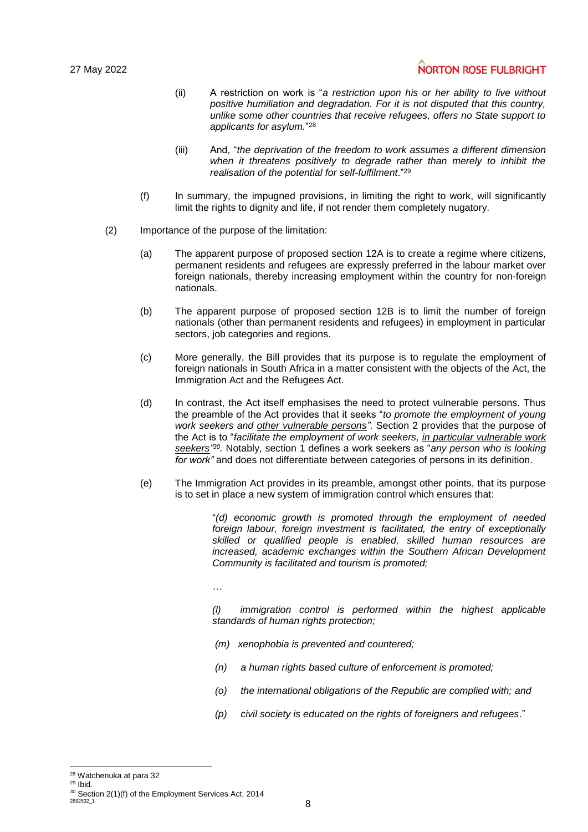# **NORTON ROSE FULBRIGHT**

- (ii) A restriction on work is "*a restriction upon his or her ability to live without positive humiliation and degradation. For it is not disputed that this country, unlike some other countries that receive refugees, offers no State support to applicants for asylum.*" 28
- (iii) And, "*the deprivation of the freedom to work assumes a different dimension when it threatens positively to degrade rather than merely to inhibit the realisation of the potential for self-fulfilment*." 29
- (f) In summary, the impugned provisions, in limiting the right to work, will significantly limit the rights to dignity and life, if not render them completely nugatory.
- (2) Importance of the purpose of the limitation:
	- (a) The apparent purpose of proposed section 12A is to create a regime where citizens, permanent residents and refugees are expressly preferred in the labour market over foreign nationals, thereby increasing employment within the country for non-foreign nationals.
	- (b) The apparent purpose of proposed section 12B is to limit the number of foreign nationals (other than permanent residents and refugees) in employment in particular sectors, job categories and regions.
	- (c) More generally, the Bill provides that its purpose is to regulate the employment of foreign nationals in South Africa in a matter consistent with the objects of the Act, the Immigration Act and the Refugees Act.
	- (d) In contrast, the Act itself emphasises the need to protect vulnerable persons. Thus the preamble of the Act provides that it seeks "*to promote the employment of young work seekers and other vulnerable persons".* Section 2 provides that the purpose of the Act is to "*facilitate the employment of work seekers, in particular vulnerable work seekers" 30 .* Notably, section 1 defines a work seekers as "*any person who is looking for work"* and does not differentiate between categories of persons in its definition.
	- (e) The Immigration Act provides in its preamble, amongst other points, that its purpose is to set in place a new system of immigration control which ensures that:

"*(d) economic growth is promoted through the employment of needed foreign labour, foreign investment is facilitated, the entry of exceptionally skilled or qualified people is enabled, skilled human resources are increased, academic exchanges within the Southern African Development Community is facilitated and tourism is promoted;*

*…*

*(l) immigration control is performed within the highest applicable standards of human rights protection;*

- *(m) xenophobia is prevented and countered;*
- *(n) a human rights based culture of enforcement is promoted;*
- *(o) the international obligations of the Republic are complied with; and*
- *(p) civil society is educated on the rights of foreigners and refugees*."

l <sup>28</sup> Watchenuka at para 32

<sup>29</sup> Ibid.

 $2892532\_1$   $8$  $30$  Section 2(1)(f) of the Employment Services Act, 2014<br> $28925321$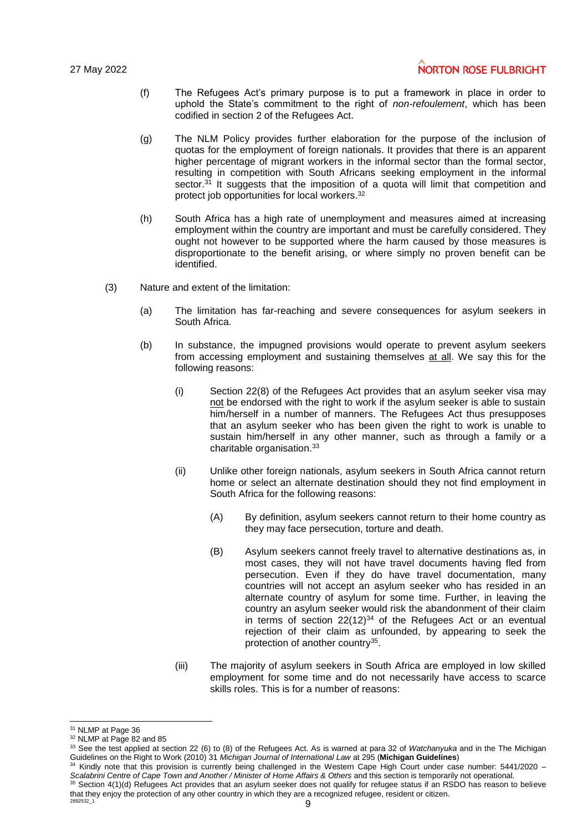- (f) The Refugees Act's primary purpose is to put a framework in place in order to uphold the State's commitment to the right of *non-refoulement*, which has been codified in section 2 of the Refugees Act.
- (g) The NLM Policy provides further elaboration for the purpose of the inclusion of quotas for the employment of foreign nationals. It provides that there is an apparent higher percentage of migrant workers in the informal sector than the formal sector, resulting in competition with South Africans seeking employment in the informal sector.<sup>31</sup> It suggests that the imposition of a quota will limit that competition and protect job opportunities for local workers.<sup>32</sup>
- (h) South Africa has a high rate of unemployment and measures aimed at increasing employment within the country are important and must be carefully considered. They ought not however to be supported where the harm caused by those measures is disproportionate to the benefit arising, or where simply no proven benefit can be identified.
- (3) Nature and extent of the limitation:
	- (a) The limitation has far-reaching and severe consequences for asylum seekers in South Africa.
	- (b) In substance, the impugned provisions would operate to prevent asylum seekers from accessing employment and sustaining themselves at all. We say this for the following reasons:
		- (i) Section 22(8) of the Refugees Act provides that an asylum seeker visa may not be endorsed with the right to work if the asylum seeker is able to sustain him/herself in a number of manners. The Refugees Act thus presupposes that an asylum seeker who has been given the right to work is unable to sustain him/herself in any other manner, such as through a family or a charitable organisation. 33
		- (ii) Unlike other foreign nationals, asylum seekers in South Africa cannot return home or select an alternate destination should they not find employment in South Africa for the following reasons:
			- (A) By definition, asylum seekers cannot return to their home country as they may face persecution, torture and death.
			- (B) Asylum seekers cannot freely travel to alternative destinations as, in most cases, they will not have travel documents having fled from persecution. Even if they do have travel documentation, many countries will not accept an asylum seeker who has resided in an alternate country of asylum for some time. Further, in leaving the country an asylum seeker would risk the abandonment of their claim in terms of section  $22(12)^{34}$  of the Refugees Act or an eventual rejection of their claim as unfounded, by appearing to seek the protection of another country<sup>35</sup>.
		- (iii) The majority of asylum seekers in South Africa are employed in low skilled employment for some time and do not necessarily have access to scarce skills roles. This is for a number of reasons:

l <sup>31</sup> NLMP at Page 36

<sup>32</sup> NLMP at Page 82 and 85

<sup>33</sup> See the test applied at section 22 (6) to (8) of the Refugees Act. As is warned at para 32 of *Watchanyuka* and in the The Michigan Guidelines on the Right to Work (2010) 31 *Michigan Journal of International Law* at 295 (**Michigan Guidelines**)

Kindly note that this provision is currently being challenged in the Western Cape High Court under case number: 5441/2020 -*Scalabrini Centre of Cape Town and Another / Minister of Home Affairs & Others* and this section is temporarily not operational.

 $2892532\_1$  9  $35$  Section  $4(1)(d)$  Refugees Act provides that an asylum seeker does not qualify for refugee status if an RSDO has reason to believe that they enjoy the protection of any other country in which they are a recognized refugee, resident or citizen.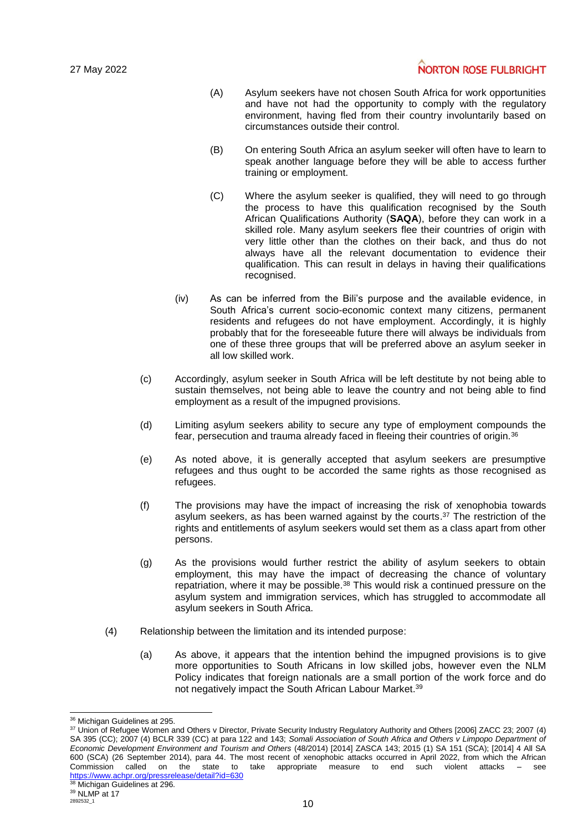- (A) Asylum seekers have not chosen South Africa for work opportunities and have not had the opportunity to comply with the regulatory environment, having fled from their country involuntarily based on circumstances outside their control.
- (B) On entering South Africa an asylum seeker will often have to learn to speak another language before they will be able to access further training or employment.
- (C) Where the asylum seeker is qualified, they will need to go through the process to have this qualification recognised by the South African Qualifications Authority (**SAQA**), before they can work in a skilled role. Many asylum seekers flee their countries of origin with very little other than the clothes on their back, and thus do not always have all the relevant documentation to evidence their qualification. This can result in delays in having their qualifications recognised.
- (iv) As can be inferred from the Bili's purpose and the available evidence, in South Africa's current socio-economic context many citizens, permanent residents and refugees do not have employment. Accordingly, it is highly probably that for the foreseeable future there will always be individuals from one of these three groups that will be preferred above an asylum seeker in all low skilled work.
- (c) Accordingly, asylum seeker in South Africa will be left destitute by not being able to sustain themselves, not being able to leave the country and not being able to find employment as a result of the impugned provisions.
- (d) Limiting asylum seekers ability to secure any type of employment compounds the fear, persecution and trauma already faced in fleeing their countries of origin.<sup>36</sup>
- (e) As noted above, it is generally accepted that asylum seekers are presumptive refugees and thus ought to be accorded the same rights as those recognised as refugees.
- (f) The provisions may have the impact of increasing the risk of xenophobia towards asylum seekers, as has been warned against by the courts.<sup>37</sup> The restriction of the rights and entitlements of asylum seekers would set them as a class apart from other persons.
- (g) As the provisions would further restrict the ability of asylum seekers to obtain employment, this may have the impact of decreasing the chance of voluntary repatriation, where it may be possible.<sup>38</sup> This would risk a continued pressure on the asylum system and immigration services, which has struggled to accommodate all asylum seekers in South Africa.
- (4) Relationship between the limitation and its intended purpose:
	- (a) As above, it appears that the intention behind the impugned provisions is to give more opportunities to South Africans in low skilled jobs, however even the NLM Policy indicates that foreign nationals are a small portion of the work force and do not negatively impact the South African Labour Market.<sup>39</sup>

l <sup>36</sup> Michigan Guidelines at 295.

<sup>37</sup> Union of Refugee Women and Others v Director, Private Security Industry Regulatory Authority and Others [2006] ZACC 23; 2007 (4) SA 395 (CC); 2007 (4) BCLR 339 (CC) at para 122 and 143; Somali Association of South Africa and Others v Limpopo Department of *Economic Development Environment and Tourism and Others* (48/2014) [2014] ZASCA 143; 2015 (1) SA 151 (SCA); [2014] 4 All SA 600 (SCA) (26 September 2014), para 44. The most recent of xenophobic attacks occurred in April 2022, from which the African state to take appropriate measure to end such violent attacks  $-$  see <https://www.achpr.org/pressrelease/detail?id=630>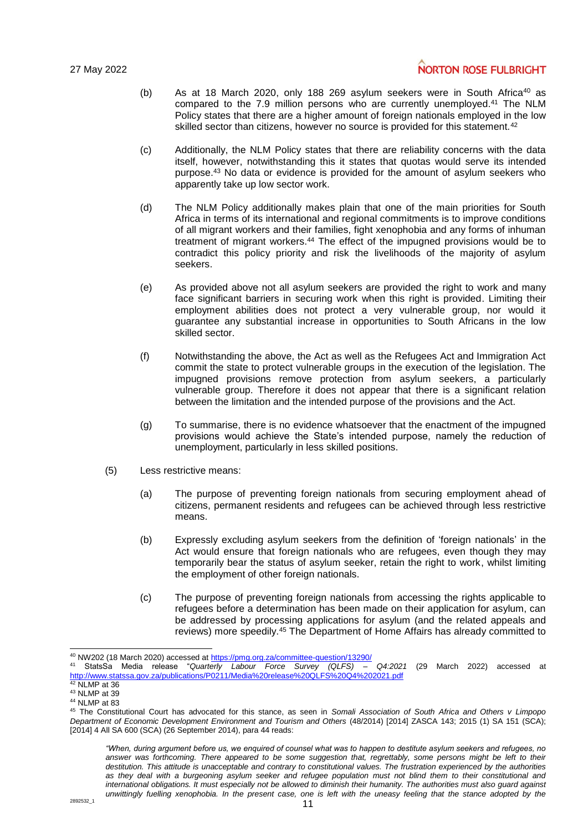- (b) As at 18 March 2020, only 188 269 asylum seekers were in South Africa<sup>40</sup> as compared to the 7.9 million persons who are currently unemployed. <sup>41</sup> The NLM Policy states that there are a higher amount of foreign nationals employed in the low skilled sector than citizens, however no source is provided for this statement.<sup>42</sup>
- (c) Additionally, the NLM Policy states that there are reliability concerns with the data itself, however, notwithstanding this it states that quotas would serve its intended purpose.<sup>43</sup> No data or evidence is provided for the amount of asylum seekers who apparently take up low sector work.
- (d) The NLM Policy additionally makes plain that one of the main priorities for South Africa in terms of its international and regional commitments is to improve conditions of all migrant workers and their families, fight xenophobia and any forms of inhuman treatment of migrant workers.<sup>44</sup> The effect of the impugned provisions would be to contradict this policy priority and risk the livelihoods of the majority of asylum seekers.
- (e) As provided above not all asylum seekers are provided the right to work and many face significant barriers in securing work when this right is provided. Limiting their employment abilities does not protect a very vulnerable group, nor would it guarantee any substantial increase in opportunities to South Africans in the low skilled sector.
- (f) Notwithstanding the above, the Act as well as the Refugees Act and Immigration Act commit the state to protect vulnerable groups in the execution of the legislation. The impugned provisions remove protection from asylum seekers, a particularly vulnerable group. Therefore it does not appear that there is a significant relation between the limitation and the intended purpose of the provisions and the Act.
- (g) To summarise, there is no evidence whatsoever that the enactment of the impugned provisions would achieve the State's intended purpose, namely the reduction of unemployment, particularly in less skilled positions.
- (5) Less restrictive means:
	- (a) The purpose of preventing foreign nationals from securing employment ahead of citizens, permanent residents and refugees can be achieved through less restrictive means.
	- (b) Expressly excluding asylum seekers from the definition of 'foreign nationals' in the Act would ensure that foreign nationals who are refugees, even though they may temporarily bear the status of asylum seeker, retain the right to work, whilst limiting the employment of other foreign nationals.
	- (c) The purpose of preventing foreign nationals from accessing the rights applicable to refugees before a determination has been made on their application for asylum, can be addressed by processing applications for asylum (and the related appeals and reviews) more speedily.<sup>45</sup> The Department of Home Affairs has already committed to

l <sup>40</sup> NW202 (18 March 2020) accessed a[t https://pmg.org.za/committee-question/13290/](https://pmg.org.za/committee-question/13290/)

<sup>41</sup> StatsSa Media release "*Quarterly Labour Force Survey (QLFS) – Q4:2021* (29 March 2022) accessed at <http://www.statssa.gov.za/publications/P0211/Media%20release%20QLFS%20Q4%202021.pdf> <sup>42</sup> NLMP at 36

<sup>43</sup> NLMP at 39

<sup>44</sup> NLMP at 83

<sup>45</sup> The Constitutional Court has advocated for this stance, as seen in *Somali Association of South Africa and Others v Limpopo Department of Economic Development Environment and Tourism and Others* (48/2014) [2014] ZASCA 143; 2015 (1) SA 151 (SCA); [2014] 4 All SA 600 (SCA) (26 September 2014), para 44 reads:

*<sup>&</sup>quot;When, during argument before us, we enquired of counsel what was to happen to destitute asylum seekers and refugees, no*  answer was forthcoming. There appeared to be some suggestion that, regrettably, some persons might be left to their *destitution. This attitude is unacceptable and contrary to constitutional values. The frustration experienced by the authorities as they deal with a burgeoning asylum seeker and refugee population must not blind them to their constitutional and international obligations. It must especially not be allowed to diminish their humanity. The authorities must also guard against*  unwittingly fuelling xenophobia. In the present case, one is left with the uneasy feeling that the stance adopted by the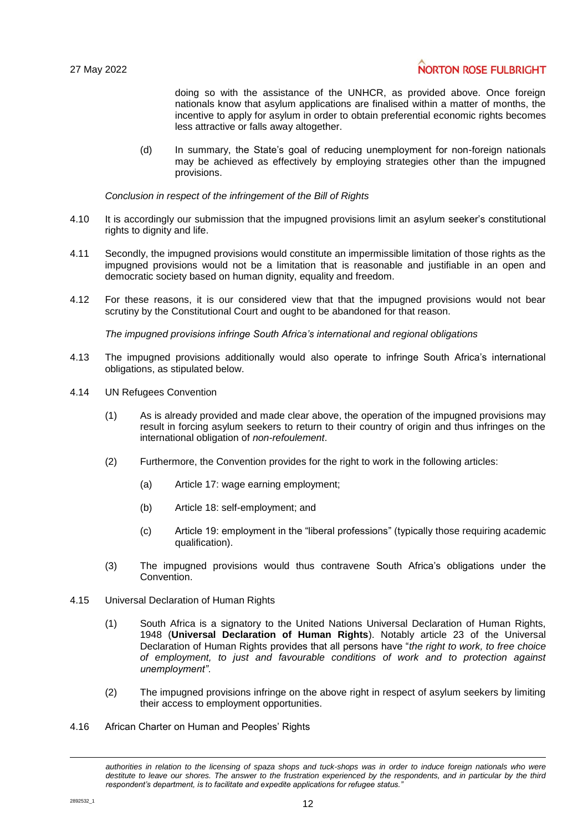# **NORTON ROSE FULBRIGHT**

doing so with the assistance of the UNHCR, as provided above. Once foreign nationals know that asylum applications are finalised within a matter of months, the incentive to apply for asylum in order to obtain preferential economic rights becomes less attractive or falls away altogether.

(d) In summary, the State's goal of reducing unemployment for non-foreign nationals may be achieved as effectively by employing strategies other than the impugned provisions.

*Conclusion in respect of the infringement of the Bill of Rights*

- 4.10 It is accordingly our submission that the impugned provisions limit an asylum seeker's constitutional rights to dignity and life.
- 4.11 Secondly, the impugned provisions would constitute an impermissible limitation of those rights as the impugned provisions would not be a limitation that is reasonable and justifiable in an open and democratic society based on human dignity, equality and freedom.
- 4.12 For these reasons, it is our considered view that that the impugned provisions would not bear scrutiny by the Constitutional Court and ought to be abandoned for that reason.

*The impugned provisions infringe South Africa's international and regional obligations*

- 4.13 The impugned provisions additionally would also operate to infringe South Africa's international obligations, as stipulated below.
- 4.14 UN Refugees Convention
	- (1) As is already provided and made clear above, the operation of the impugned provisions may result in forcing asylum seekers to return to their country of origin and thus infringes on the international obligation of *non-refoulement*.
	- (2) Furthermore, the Convention provides for the right to work in the following articles:
		- (a) Article 17: wage earning employment;
		- (b) Article 18: self-employment; and
		- (c) Article 19: employment in the "liberal professions" (typically those requiring academic qualification).
	- (3) The impugned provisions would thus contravene South Africa's obligations under the Convention.
- 4.15 Universal Declaration of Human Rights
	- (1) South Africa is a signatory to the United Nations Universal Declaration of Human Rights, 1948 (**Universal Declaration of Human Rights**). Notably article 23 of the Universal Declaration of Human Rights provides that all persons have "*the right to work, to free choice of employment, to just and favourable conditions of work and to protection against unemployment"*.
	- (2) The impugned provisions infringe on the above right in respect of asylum seekers by limiting their access to employment opportunities.
- 4.16 African Charter on Human and Peoples' Rights

l

*authorities in relation to the licensing of spaza shops and tuck-shops was in order to induce foreign nationals who were destitute to leave our shores. The answer to the frustration experienced by the respondents, and in particular by the third respondent's department, is to facilitate and expedite applications for refugee status."*